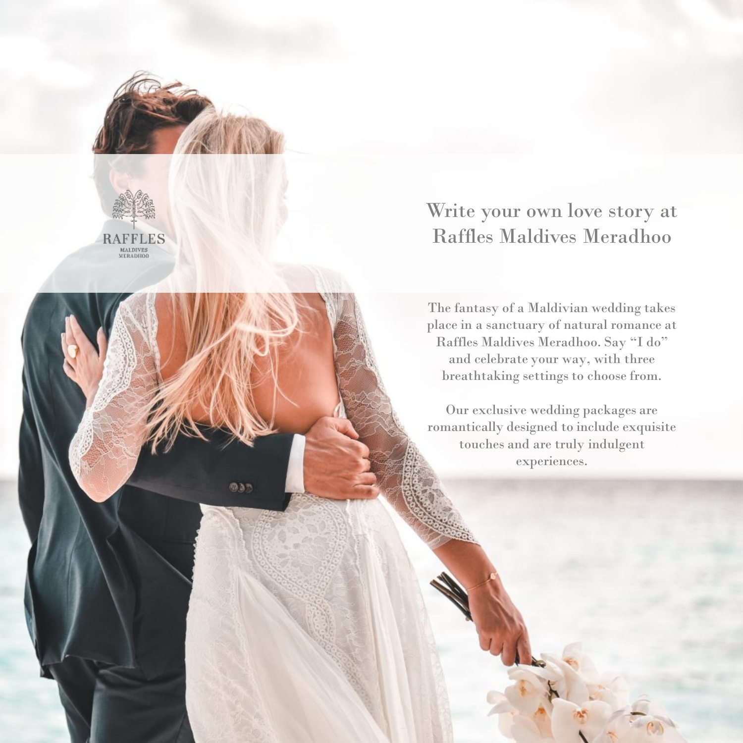

**DAT** 



# Write your own love story at Raffles Maldives Meradhoo

The fantasy of a Maldivian wedding takes place in a sanctuary of natural romance at Raffles Maldives Meradhoo. Say "I do" and celebrate your way, with three breathtaking settings to choose from.

Our exclusive wedding packages are romantically designed to include exquisite touches and are truly indulgent experiences.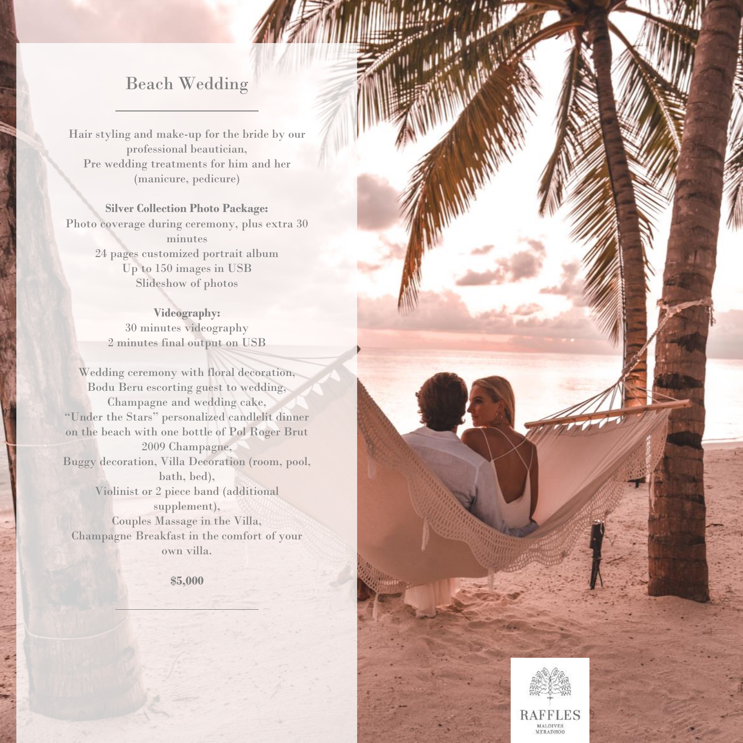#### Beach Wedding

Hair styling and make-up for the bride by our professional beautician, Pre wedding treatments for him and her (manicure, pedicure)

**Silver Collection Photo Package:**  Photo coverage during ceremony, plus extra 30 minutes 24 pages customized portrait album Up to 150 images in USB Slideshow of photos

> **Videography:**  30 minutes videography 2 minutes final output on USB

Wedding ceremony with floral decoration, Bodu Beru escorting guest to wedding, Champagne and wedding cake, "Under the Stars" personalized candlelit dinner on the beach with one bottle of Pol Roger Brut 2009 Champagne, Buggy decoration, Villa Decoration (room, pool, bath, bed), Violinist or 2 piece band (additional supplement), Couples Massage in the Villa, Champagne Breakfast in the comfort of your own villa.

**\$5,000**



**Complete Complete**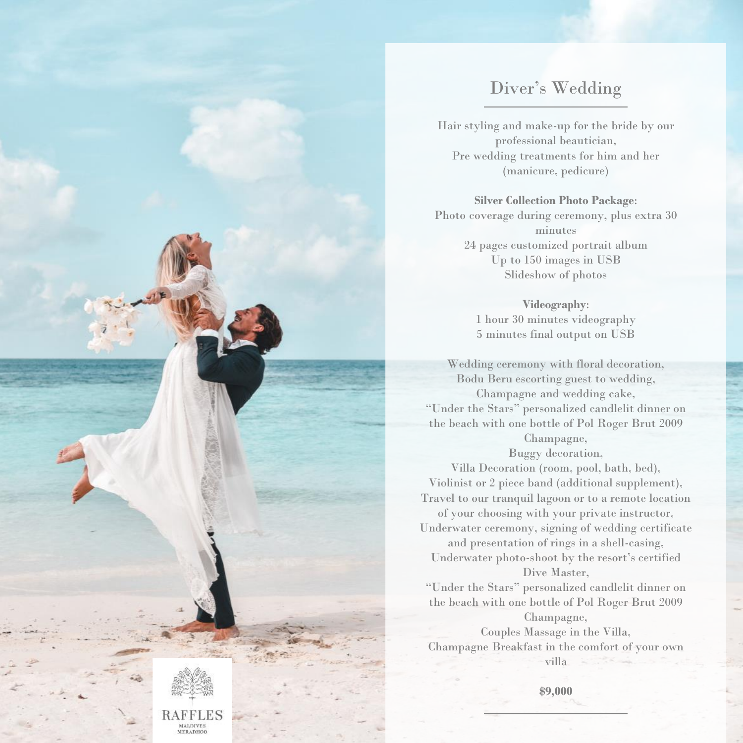### Diver's Wedding

Hair styling and make-up for the bride by our professional beautician, Pre wedding treatments for him and her (manicure, pedicure)

#### **Silver Collection Photo Package**:

Photo coverage during ceremony, plus extra 30 minutes 24 pages customized portrait album Up to 150 images in USB Slideshow of photos

> **Videography**: 1 hour 30 minutes videography 5 minutes final output on USB

Wedding ceremony with floral decoration, Bodu Beru escorting guest to wedding, Champagne and wedding cake, "Under the Stars" personalized candlelit dinner on the beach with one bottle of Pol Roger Brut 2009 Champagne,

Buggy decoration,

Villa Decoration (room, pool, bath, bed), Violinist or 2 piece band (additional supplement), Travel to our tranquil lagoon or to a remote location of your choosing with your private instructor, Underwater ceremony, signing of wedding certificate and presentation of rings in a shell-casing,

Underwater photo-shoot by the resort's certified Dive Master,

"Under the Stars" personalized candlelit dinner on the beach with one bottle of Pol Roger Brut 2009 Champagne,

Couples Massage in the Villa, Champagne Breakfast in the comfort of your own villa

**\$9,000**